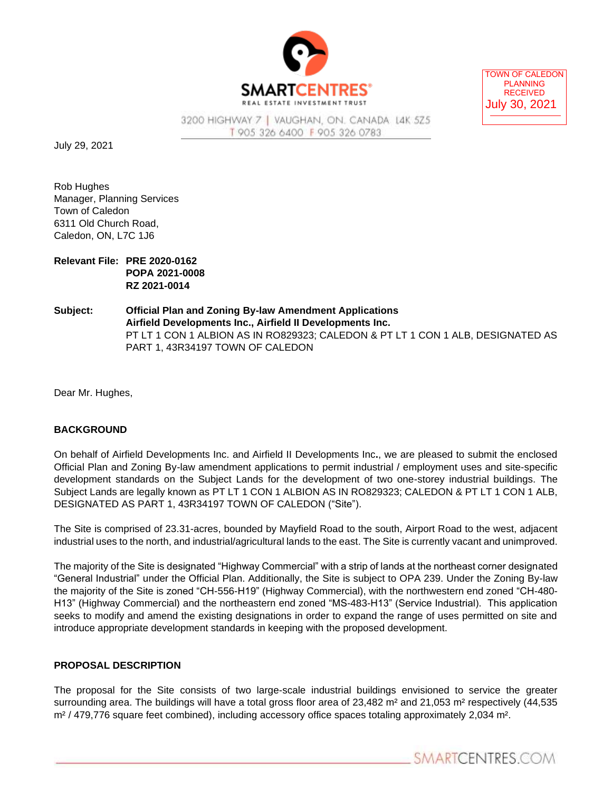

TOWN OF CALEDON PLANNING RECEIVED July 30, 2021

3200 HIGHWAY 7 | VAUGHAN, ON. CANADA L4K 5Z5 T 905 326 6400 F 905 326 0783

July 29, 2021

Rob Hughes Manager, Planning Services Town of Caledon 6311 Old Church Road, Caledon, ON, L7C 1J6

| Relevant File: PRE 2020-0162 |
|------------------------------|
| <b>POPA 2021-0008</b>        |
| RZ 2021-0014                 |

**Subject: Official Plan and Zoning By-law Amendment Applications Airfield Developments Inc., Airfield II Developments Inc.** PT LT 1 CON 1 ALBION AS IN RO829323; CALEDON & PT LT 1 CON 1 ALB, DESIGNATED AS PART 1, 43R34197 TOWN OF CALEDON

Dear Mr. Hughes,

## **BACKGROUND**

On behalf of Airfield Developments Inc. and Airfield II Developments Inc**.**, we are pleased to submit the enclosed Official Plan and Zoning By-law amendment applications to permit industrial / employment uses and site-specific development standards on the Subject Lands for the development of two one-storey industrial buildings. The Subject Lands are legally known as PT LT 1 CON 1 ALBION AS IN RO829323; CALEDON & PT LT 1 CON 1 ALB, DESIGNATED AS PART 1, 43R34197 TOWN OF CALEDON ("Site").

The Site is comprised of 23.31-acres, bounded by Mayfield Road to the south, Airport Road to the west, adjacent industrial uses to the north, and industrial/agricultural lands to the east. The Site is currently vacant and unimproved.

The majority of the Site is designated "Highway Commercial" with a strip of lands at the northeast corner designated "General Industrial" under the Official Plan. Additionally, the Site is subject to OPA 239. Under the Zoning By-law the majority of the Site is zoned "CH-556-H19" (Highway Commercial), with the northwestern end zoned "CH-480- H13" (Highway Commercial) and the northeastern end zoned "MS-483-H13" (Service Industrial). This application seeks to modify and amend the existing designations in order to expand the range of uses permitted on site and introduce appropriate development standards in keeping with the proposed development.

## **PROPOSAL DESCRIPTION**

The proposal for the Site consists of two large-scale industrial buildings envisioned to service the greater surrounding area. The buildings will have a total gross floor area of 23,482 m<sup>2</sup> and 21,053 m<sup>2</sup> respectively (44,535 m² / 479,776 square feet combined), including accessory office spaces totaling approximately 2,034 m².